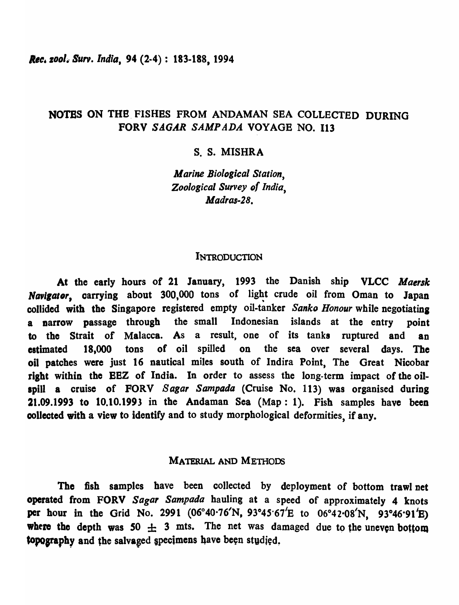# NOTES ON THE FISHES FROM ANDAMAN SEA COLLECTED DURING FORV SAGAR *SAMP ADA* VOYAGE NO. 113

# s. S. MISHRA

*Marine Biological Station, Zoological Survey* of *India, Madras-2B.* 

### INTRODUCTION

At the early hours of 21 January, 1993 the Danish ship VLCC *Maersk* Navigator, carrying about 300,000 tons of light crude oil from Oman to Japan collided with the Singapore registered empty oil-tanker *Sanko Honour* while negotiating a narrow passage through the small Indonesian islands at the entry point to the Strait of Malacea. As a result, one of its tanks ruptured and an estimated 18,000 tons of oil spilled on the sea over several days. The oil patches were just 16 nautical miles south of Indira Point, The Great Nicobar right within the BBZ of India. In order to assess the long-term impact of the oilspill a cruise of FORV 8 *agar Sampada* (Cruise No. 113) was organised during 21.09.1993 to 10.10.1993 in the Andaman Sea (Map: 1). Fish samples have been collected with a view to identify and to study morphological deformities, if any.

# MATERIAL AND MEmoDS

The fish samples have been collected by deployment of bottom trawl net operated from FORV *Sagar Sampada* hauling at a speed of approximately 4 knots per hour in the Grid No. 2991 (06°40 $\cdot$ 76'N, 93°45 $\cdot$ 67'E to 06°42 $\cdot$ 08'N, 93°46 $\cdot$ 91'E) where the depth was  $50 \pm 3$  mts. The net was damaged due to the uneven bottom topography and the salvaged specimens have been studied.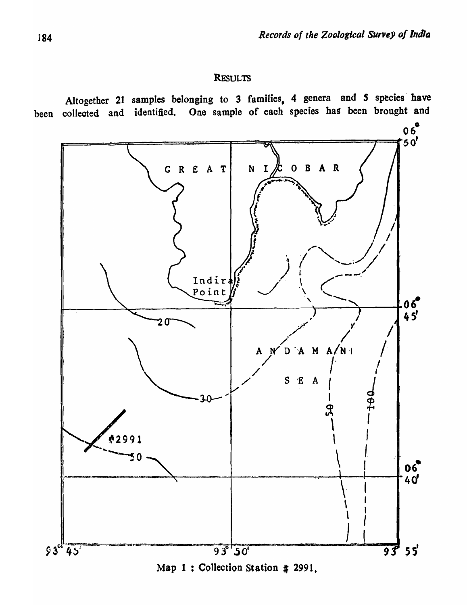# **RESULTS**

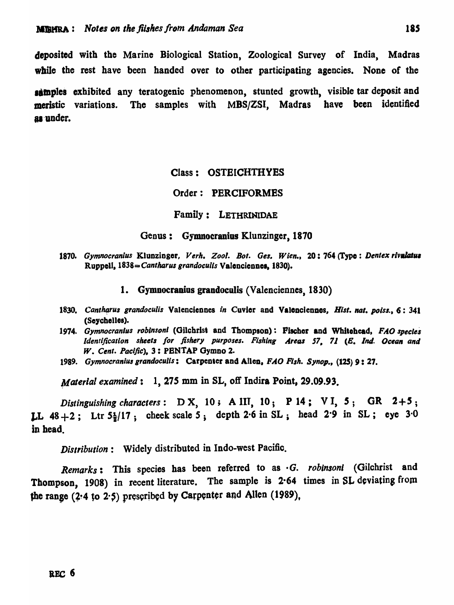deposited with the Marine Biological Station, Zoological Survey of India, Madras while the rest have been handed over to other participating agencies. None of the

samples exhibited any teratogenic phenomenon, stunted growth, visible tar deposit and meristic variations. The samples with MBS/ZSI, Madras have been identified as under.

# Class: OSTEICHTHYES

### Order: PERCIFORMES

Family: LETHRINIDAE

#### Genus: Gymnoeranius Klunzinger, 1870

1870. Gymnocranius Klunzinger, Verh. Zool. Bot. Ges. Wien., 20: 764 (Type: Dentex rivulatus Ruppell, 1838= Cantharus grandoculis Valenciennes, 1830).

#### 1. Gymnocranius grandoculis (Valenciennes, 1830)

- 1830. Cantharus grandoculis Valenciennes in Cuvior and Valenciennes, *Hist. nat. poiss.*, 6: 341 (Seychelles).
- *1974. Gymnocranlus roblnsonl* (Gilchrist and Thompson): Pischor and WhItehead, *FAO species Identification sheets for fishery purposes. Fishing Areas 57, 71 (E, Ind. Ocean and W. Cent. Pacific),* 3: PBNTAP Gymno 2.
- *1989. GymnocranllU grandoculls* : Carpenter and AileD, *F* dO *Fish. Synop.,* (125) 9 : 27.

*(daterlal examined:* 1, 275 mm in SL, off Indira Point, 29.09.93.

*Distinguishing characters:* D X, 10; A lIT, 10; P 14; V I, 5; OR 2+5; **LL**  $48 + 2$ ; Ltr  $5\frac{1}{2}/17$ ; cheek scale 5; depth 2.6 in SL; head 2.9 in SL; eye 3.0 in head.

*Distribution:* Widely distributed in Indo-west Pacific.

*Remarks:* This species has been referred to as · *G. roblnsoni* (Gilchrist and Thompson, 1908) in recent literature. The sample is 2.64 times in SL deviating from the range  $(2.4~\mathrm{to}~2.5)$  prescribed by Carpenter and Allen (1989).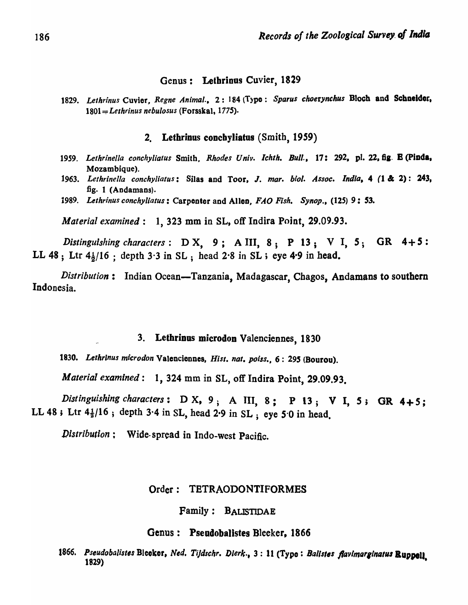# Genus: Letbrinus Cuvier, 1829

1829. Lethrinus Cuvier, *Regne Animal.*, 2: 184 (Type: Sparus choerynchus Bloch and Schneider, 1801::::;: *Lethrinus nebulosus* (Forsskal, 1775).

#### 2. Lethrinus concbyliatus (Smith, 1959)

- *1959. Lethrinella conchyliatus* Smith, *Rhodes Univ. Ichth. Bull.,* 17: 292, pl. 22,61· B (PIDd., Mozambique).
- 1963. Lethrinella conchyliatus: Silas and Toor, J. mar. biol. Assoc. India, 4 (1 & 2): 243, fig. 1 (Andamans).
- *1989. Lethrinus conchyliatus:* Carpenter and AileD, *FAO Fish. Synop., (12S)* 9: 53.

*Material examined:* 1, 323 mm in SL, off Indira Point, 29.09.93.

*Distinguishing characters*: D X, 9; A III, 8; P 13; V I, 5; GR 4+5: LL 48; Ltr  $4\frac{1}{2}$ /16; depth 3.3 in SL; head 2.8 in SL; eye 4.9 in head.

*Distribution*: Indian Ocean-Tanzania, Madagascar, Chagos, Andamans to southern Indonesia.

# 3. Lethrinus microdon Valenciennes, 1830

*1830. Lethrlnus micro don* Valencionnes, *Hisl. nat. poiss.,* 6: 295 (Bourou).

*Material examined:* 1, 324 mm in SL, off Indira Point, 29.09.93.

*Distinguishing characters*: D X, 9; A III, 8; P 13; V I, 5; GR 4+5; LL 48; Ltr  $4\frac{1}{2}$ /16; depth 3.4 in SL, head 2.9 in SL; eye 5.0 in head.

*Distribution:* Wide· spread in Indo-west Pacific.

#### Order: TBTRAODONTIFORMES

Family: BALISTIDAE

#### Genus: Pseudobalistes Bleeker, 1866

1866. Pseudobalistes Bleeker, *Ned. Tijdschr. Dierk.*, 3: 11 (Type: *Balistes flavimarginatus* Ruppell. 1829) •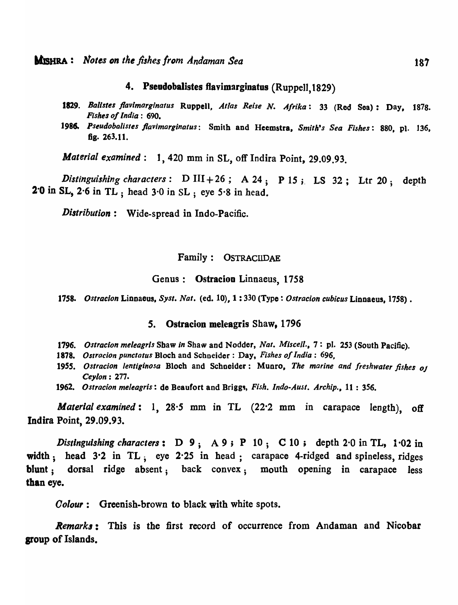### 4. Pseudobalistes flavimarginatus (Ruppell, 1829)

- *1829. Ballstes j1avlmarginatus* Ruppell, *Atlas Reise N. Afrika:* 33 (Red Sea): Day, 1878. *Fishes 01 India* : 690.
- 1986. Pseudobalistes flavimarginatus: Smith and Heemstra, Smith's Sea Fishes: 880, pl. 136, fig. 263.11.

*Material examined:* 1, 420 mm in SL, off Indira Point, 29.09.93.

*Distinguishing characters*:  $D III + 26$ ;  $A 24$ ;  $P 15$ ;  $LS 32$ ; Ltr 20; depth 2·0 in SL, 2·6 in TL ; head 3·0 in SL ; eye 5·8 in head.

*Distribution:* Wide-spread in Indo-Pacific.

### Family: OSTRACIIDAE

#### Genus: Ostracion Linnaeus, 1758

1758. *Ostracion Linnaeus, Syst. Nat.* (ed. 10), 1:330 (Type: *Ostracion cubicus Linnaeus*, 1758).

### 5. Ostracion meleagris Shaw, 1796

- 1796. *Ostracion meleagris* Shaw *in* Shaw and Nodder, *Nat. Mlsce/l.,* 7: pI. 253 (South Pacific).
- *1818. OSlracion punctatus* Bloch and Schneider: Day, *Fishes of India: 696,*
- *1955. Ostracion lentiginosa* Bloch and Schneider: Munro, *The marine and freshwater fishes OJ Ceylon:* 277.
- 1962. *Ostracion meleagris:* de Beaufort and Brigg., *Fish. lndo-Aust. Archip.,* 11 : 356.

*Material examined:* 1, 28-5 mm in TL (22·2 mm in carapace length), off Indira Point, 29.09.93.

Distinguishing characters:  $D_9$ ;  $A_9$ ;  $P_10$ ;  $C_10$ ; depth 2 $0$  in TL, 1 $02$  in width; head 3.2 in TL; eye 2.25 in head; carapace 4-ridged and spineless, ridges blunt; dorsal ridge absent; back convex; mouth opening in carapace less than eye.

*Oolour:* Greenish-brown to black with white spots.

*Remark,:* This is the first record of occurrence from Andaman and Nicobar sroup of Islands.